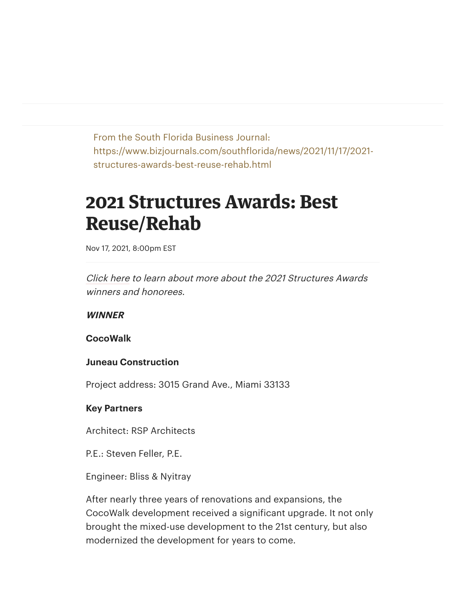From the South Florida Business Journal: https://www.bizjournals.com/southflorida/news/2021/11/17/2021 structures-awards-best-reuse-rehab.html

# **2021 Structures Awards: Best Reuse/Rehab**

Nov 17, 2021, 8:00pm EST

[Click here](https://www.bizjournals.com/southflorida/news/2021/11/17/meet-the-2021-structures-awards-honorees.html) to learn about more about the 2021 Structures Awards winners and honorees.

**WINNER**

**CocoWalk**

#### **Juneau Construction**

Project address: 3015 Grand Ave., Miami 33133

#### **Key Partners**

Architect: RSP Architects

P.E.: Steven Feller, P.E.

Engineer: Bliss & Nyitray

After nearly three years of renovations and expansions, the CocoWalk development received a significant upgrade. It not only brought the mixed-use development to the 21st century, but also modernized the development for years to come.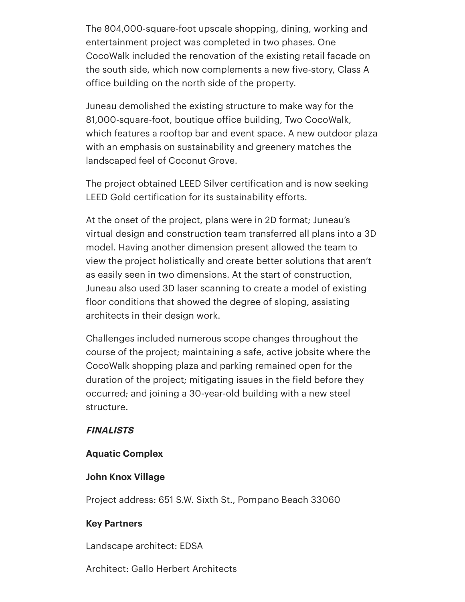The 804,000-square-foot upscale shopping, dining, working and entertainment project was completed in two phases. One CocoWalk included the renovation of the existing retail facade on the south side, which now complements a new five-story, Class A office building on the north side of the property.

Juneau demolished the existing structure to make way for the 81,000-square-foot, boutique office building, Two CocoWalk, which features a rooftop bar and event space. A new outdoor plaza with an emphasis on sustainability and greenery matches the landscaped feel of Coconut Grove.

The project obtained LEED Silver certification and is now seeking LEED Gold certification for its sustainability efforts.

At the onset of the project, plans were in 2D format; Juneau's virtual design and construction team transferred all plans into a 3D model. Having another dimension present allowed the team to view the project holistically and create better solutions that aren't as easily seen in two dimensions. At the start of construction, Juneau also used 3D laser scanning to create a model of existing floor conditions that showed the degree of sloping, assisting architects in their design work.

Challenges included numerous scope changes throughout the course of the project; maintaining a safe, active jobsite where the CocoWalk shopping plaza and parking remained open for the duration of the project; mitigating issues in the field before they occurred; and joining a 30-year-old building with a new steel structure.

# **FINALISTS**

# **Aquatic Complex**

#### **John Knox Village**

Project address: 651 S.W. Sixth St., Pompano Beach 33060

# **Key Partners**

Landscape architect: EDSA

Architect: Gallo Herbert Architects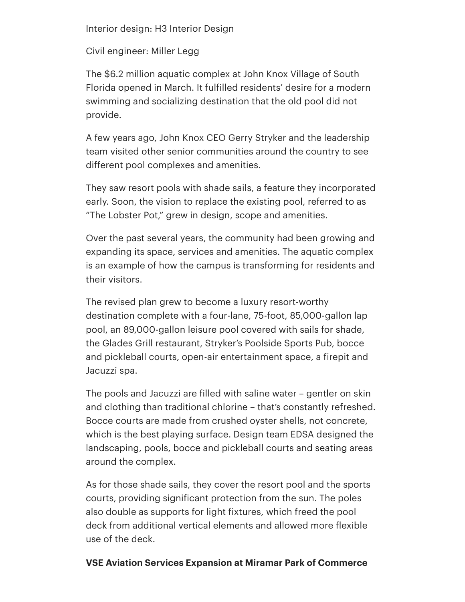Interior design: H3 Interior Design

Civil engineer: Miller Legg

The \$6.2 million aquatic complex at John Knox Village of South Florida opened in March. It fulfilled residents' desire for a modern swimming and socializing destination that the old pool did not provide.

A few years ago, John Knox CEO Gerry Stryker and the leadership team visited other senior communities around the country to see different pool complexes and amenities.

They saw resort pools with shade sails, a feature they incorporated early. Soon, the vision to replace the existing pool, referred to as "The Lobster Pot," grew in design, scope and amenities.

Over the past several years, the community had been growing and expanding its space, services and amenities. The aquatic complex is an example of how the campus is transforming for residents and their visitors.

The revised plan grew to become a luxury resort-worthy destination complete with a four-lane, 75-foot, 85,000-gallon lap pool, an 89,000-gallon leisure pool covered with sails for shade, the Glades Grill restaurant, Stryker's Poolside Sports Pub, bocce and pickleball courts, open-air entertainment space, a firepit and Jacuzzi spa.

The pools and Jacuzzi are filled with saline water – gentler on skin and clothing than traditional chlorine – that's constantly refreshed. Bocce courts are made from crushed oyster shells, not concrete, which is the best playing surface. Design team EDSA designed the landscaping, pools, bocce and pickleball courts and seating areas around the complex.

As for those shade sails, they cover the resort pool and the sports courts, providing significant protection from the sun. The poles also double as supports for light fixtures, which freed the pool deck from additional vertical elements and allowed more flexible use of the deck.

# **VSE Aviation Services Expansion at Miramar Park of Commerce**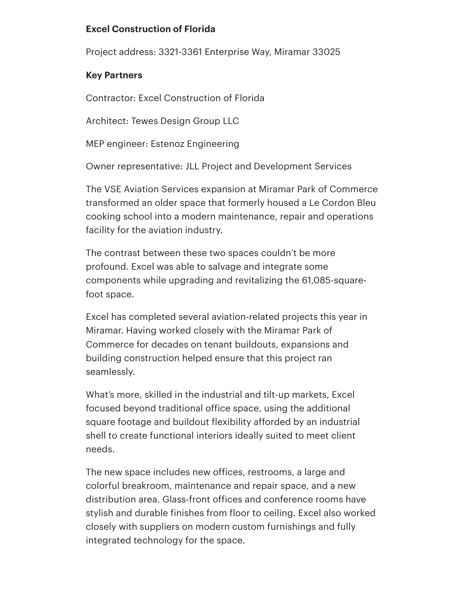# **Excel Construction of Florida**

Project address: 3321-3361 Enterprise Way, Miramar 33025

# **Key Partners**

Contractor: Excel Construction of Florida

Architect: Tewes Design Group LLC

MEP engineer: Estenoz Engineering

Owner representative: JLL Project and Development Services

The VSE Aviation Services expansion at Miramar Park of Commerce transformed an older space that formerly housed a Le Cordon Bleu cooking school into a modern maintenance, repair and operations facility for the aviation industry.

The contrast between these two spaces couldn't be more profound. Excel was able to salvage and integrate some components while upgrading and revitalizing the 61,085-squarefoot space.

Excel has completed several aviation-related projects this year in Miramar. Having worked closely with the Miramar Park of Commerce for decades on tenant buildouts, expansions and building construction helped ensure that this project ran seamlessly.

What's more, skilled in the industrial and tilt-up markets, Excel focused beyond traditional office space, using the additional square footage and buildout flexibility afforded by an industrial shell to create functional interiors ideally suited to meet client needs.

The new space includes new offices, restrooms, a large and colorful breakroom, maintenance and repair space, and a new distribution area. Glass-front offices and conference rooms have stylish and durable finishes from floor to ceiling. Excel also worked closely with suppliers on modern custom furnishings and fully integrated technology for the space.